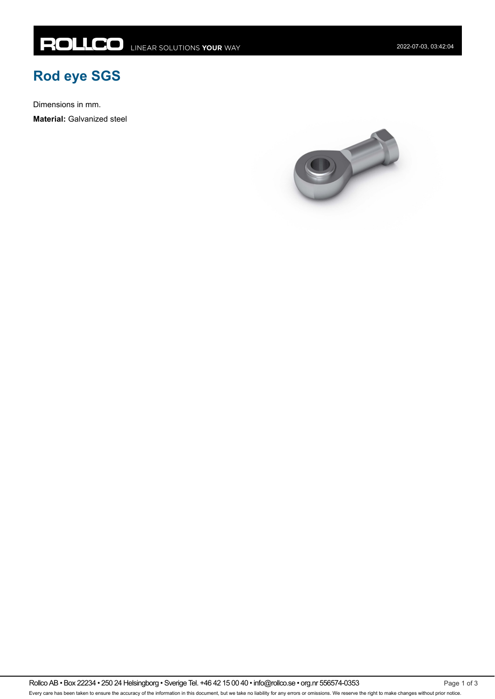## **Rod eye SGS**

Dimensions in mm.

**Material:** Galvanized steel



Rollco AB • Box 22234 • 250 24 Helsingborg • Sverige Tel. +46 42 15 00 40 • info@rollco.se • org.nr 556574-0353 Every care has been taken to ensure the accuracy of the information in this document, but we take no liability for any errors or omissions. We reserve the right to make changes without prior notice.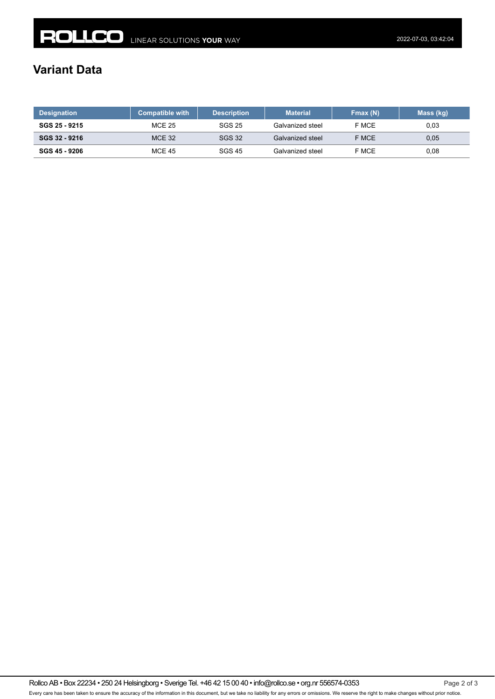## **Variant Data**

| <b>Designation</b> | <b>Compatible with</b> | <b>Description</b> | <b>Material</b>  | Fmax(N) | Mass (kg) |
|--------------------|------------------------|--------------------|------------------|---------|-----------|
| SGS 25 - 9215      | <b>MCE 25</b>          | SGS 25             | Galvanized steel | F MCE   | 0.03      |
| SGS 32 - 9216      | <b>MCE 32</b>          | <b>SGS 32</b>      | Galvanized steel | F MCE   | 0.05      |
| SGS 45 - 9206      | <b>MCE 45</b>          | SGS 45             | Galvanized steel | F MCE   | 0.08      |

Rollco AB • Box 22234 • 250 24 Helsingborg • Sverige Tel. +46 42 15 00 40 • info@rollco.se • org.nr 556574-0353 Page 2 of 3 Every care has been taken to ensure the accuracy of the information in this document, but we take no liability for any errors or omissions. We reserve the right to make changes without prior notice.